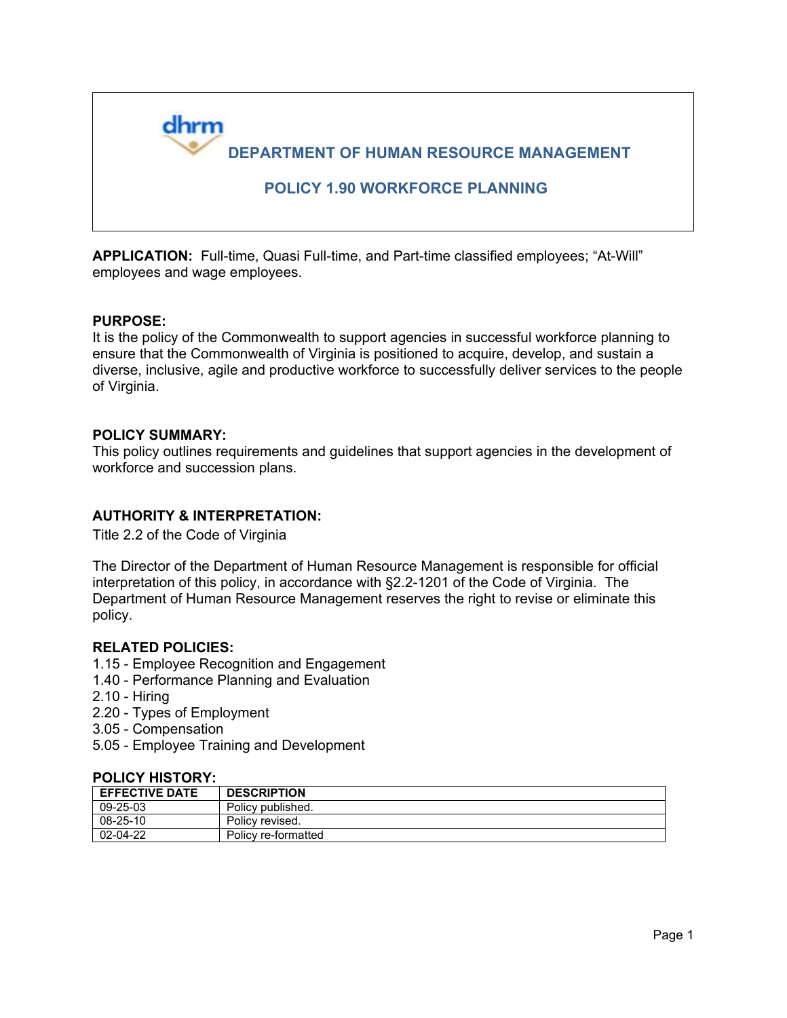

**APPLICATION:** Full-time, Quasi Full-time, and Part-time classified employees; "At-Will" employees and wage employees.

#### **PURPOSE:**

It is the policy of the Commonwealth to support agencies in successful workforce planning to ensure that the Commonwealth of Virginia is positioned to acquire, develop, and sustain a diverse, inclusive, agile and productive workforce to successfully deliver services to the people of Virginia.

### **POLICY SUMMARY:**

This policy outlines requirements and guidelines that support agencies in the development of workforce and succession plans.

## **AUTHORITY & INTERPRETATION:**

Title 2.2 of the Code of Virginia

The Director of the Department of Human Resource Management is responsible for official interpretation of this policy, in accordance with §2.2-1201 of the Code of Virginia. The Department of Human Resource Management reserves the right to revise or eliminate this policy.

#### **RELATED POLICIES:**

- 1.15 Employee Recognition and Engagement
- 1.40 Performance Planning and Evaluation
- 2.10 Hiring
- 2.20 Types of Employment
- 3.05 Compensation
- 5.05 Employee Training and Development

#### **POLICY HISTORY:**

| <b>EFFECTIVE DATE</b> | <b>DESCRIPTION</b>  |
|-----------------------|---------------------|
| 09-25-03              | Policy published.   |
| 08-25-10              | Policy revised.     |
| 02-04-22              | Policy re-formatted |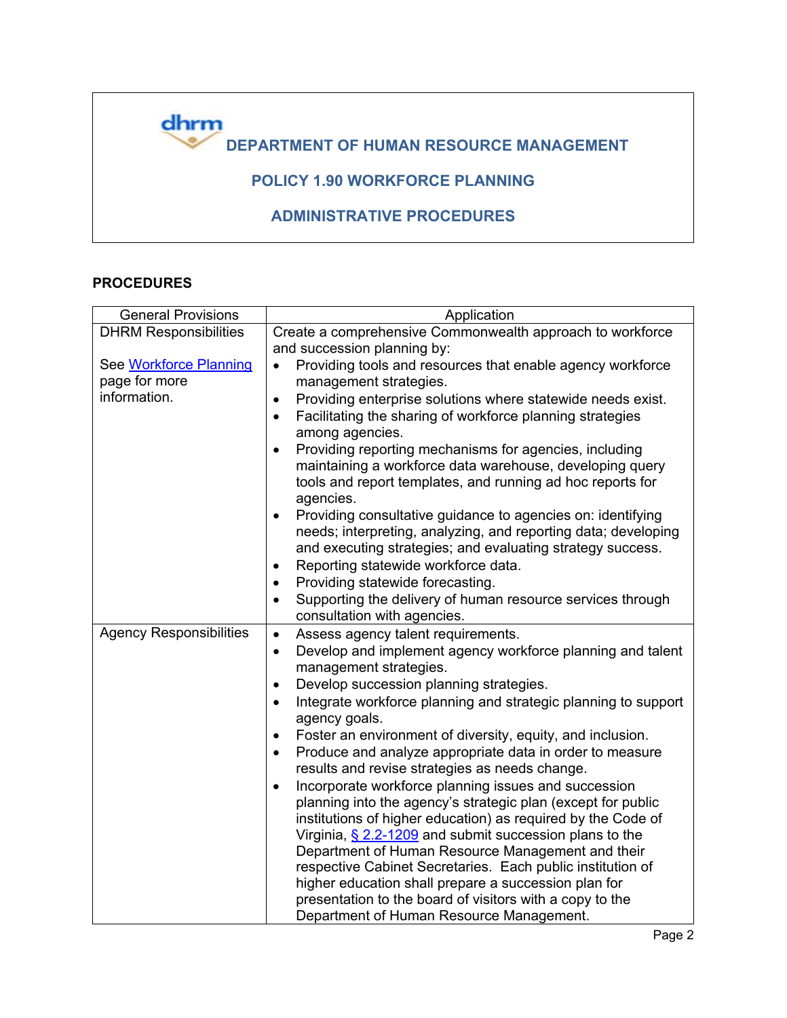

## **PROCEDURES**

| Application                                                                                                     |
|-----------------------------------------------------------------------------------------------------------------|
| Create a comprehensive Commonwealth approach to workforce                                                       |
| and succession planning by:                                                                                     |
| Providing tools and resources that enable agency workforce<br>$\bullet$                                         |
| management strategies.                                                                                          |
| Providing enterprise solutions where statewide needs exist.<br>$\bullet$                                        |
| Facilitating the sharing of workforce planning strategies<br>$\bullet$                                          |
| among agencies.                                                                                                 |
| Providing reporting mechanisms for agencies, including<br>$\bullet$                                             |
| maintaining a workforce data warehouse, developing query                                                        |
| tools and report templates, and running ad hoc reports for                                                      |
| agencies.                                                                                                       |
| Providing consultative guidance to agencies on: identifying<br>$\bullet$                                        |
| needs; interpreting, analyzing, and reporting data; developing                                                  |
| and executing strategies; and evaluating strategy success.                                                      |
| Reporting statewide workforce data.<br>$\bullet$                                                                |
| Providing statewide forecasting.<br>$\bullet$                                                                   |
| Supporting the delivery of human resource services through<br>$\bullet$                                         |
| consultation with agencies.                                                                                     |
| Assess agency talent requirements.<br>$\bullet$                                                                 |
| Develop and implement agency workforce planning and talent<br>$\bullet$                                         |
| management strategies.                                                                                          |
| Develop succession planning strategies.<br>$\bullet$                                                            |
| Integrate workforce planning and strategic planning to support<br>$\bullet$                                     |
| agency goals.                                                                                                   |
| Foster an environment of diversity, equity, and inclusion.<br>٠                                                 |
| Produce and analyze appropriate data in order to measure<br>$\bullet$                                           |
| results and revise strategies as needs change.                                                                  |
| Incorporate workforce planning issues and succession<br>$\bullet$                                               |
| planning into the agency's strategic plan (except for public                                                    |
| institutions of higher education) as required by the Code of                                                    |
| Virginia, $\S$ 2.2-1209 and submit succession plans to the<br>Department of Human Resource Management and their |
| respective Cabinet Secretaries. Each public institution of                                                      |
| higher education shall prepare a succession plan for                                                            |
| presentation to the board of visitors with a copy to the                                                        |
| Department of Human Resource Management.                                                                        |
|                                                                                                                 |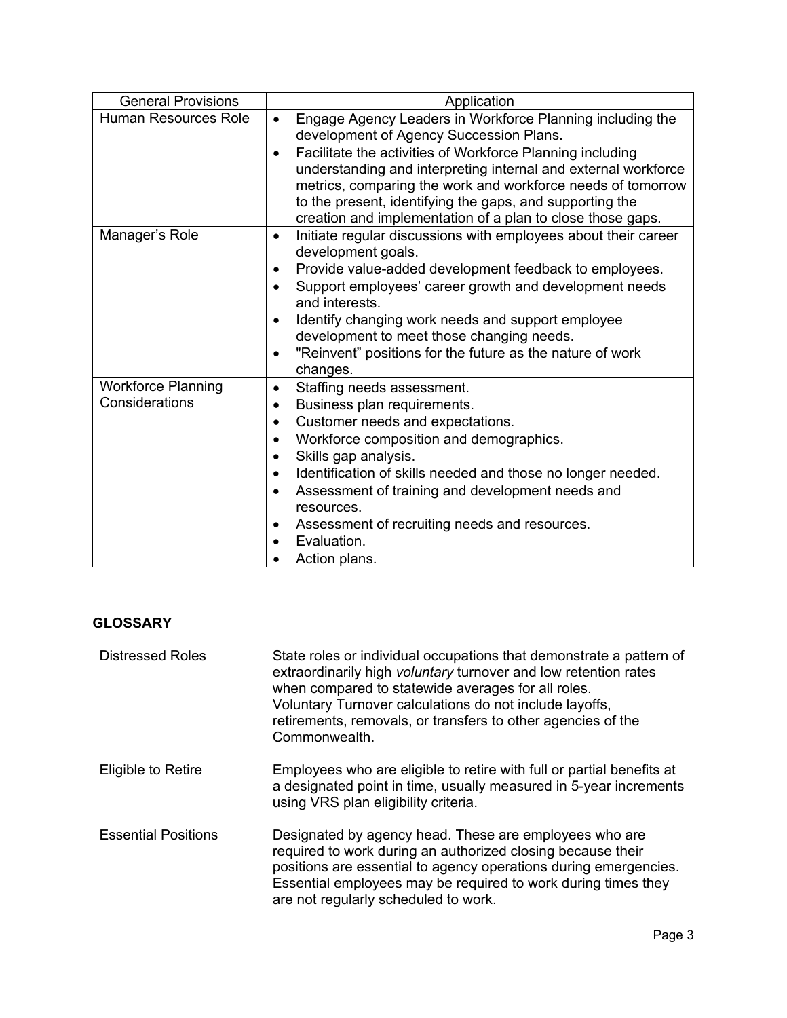| <b>General Provisions</b>                   | Application                                                                                                                                                                                                                                                                                                                                                                                                                                            |
|---------------------------------------------|--------------------------------------------------------------------------------------------------------------------------------------------------------------------------------------------------------------------------------------------------------------------------------------------------------------------------------------------------------------------------------------------------------------------------------------------------------|
| <b>Human Resources Role</b>                 | Engage Agency Leaders in Workforce Planning including the<br>$\bullet$<br>development of Agency Succession Plans.<br>Facilitate the activities of Workforce Planning including<br>$\bullet$<br>understanding and interpreting internal and external workforce<br>metrics, comparing the work and workforce needs of tomorrow<br>to the present, identifying the gaps, and supporting the<br>creation and implementation of a plan to close those gaps. |
| Manager's Role                              | Initiate regular discussions with employees about their career<br>$\bullet$<br>development goals.<br>Provide value-added development feedback to employees.<br>Support employees' career growth and development needs<br>and interests.<br>Identify changing work needs and support employee<br>development to meet those changing needs.<br>"Reinvent" positions for the future as the nature of work<br>changes.                                     |
| <b>Workforce Planning</b><br>Considerations | Staffing needs assessment.<br>$\bullet$<br>Business plan requirements.<br>$\bullet$<br>Customer needs and expectations.<br>$\bullet$<br>Workforce composition and demographics.<br>Skills gap analysis.<br>Identification of skills needed and those no longer needed.<br>Assessment of training and development needs and<br>resources.<br>Assessment of recruiting needs and resources.<br>Evaluation.<br>Action plans.                              |

# **GLOSSARY**

| <b>Distressed Roles</b>    | State roles or individual occupations that demonstrate a pattern of<br>extraordinarily high voluntary turnover and low retention rates<br>when compared to statewide averages for all roles.<br>Voluntary Turnover calculations do not include layoffs,<br>retirements, removals, or transfers to other agencies of the<br>Commonwealth. |
|----------------------------|------------------------------------------------------------------------------------------------------------------------------------------------------------------------------------------------------------------------------------------------------------------------------------------------------------------------------------------|
| Eligible to Retire         | Employees who are eligible to retire with full or partial benefits at<br>a designated point in time, usually measured in 5-year increments<br>using VRS plan eligibility criteria.                                                                                                                                                       |
| <b>Essential Positions</b> | Designated by agency head. These are employees who are<br>required to work during an authorized closing because their<br>positions are essential to agency operations during emergencies.<br>Essential employees may be required to work during times they<br>are not regularly scheduled to work.                                       |